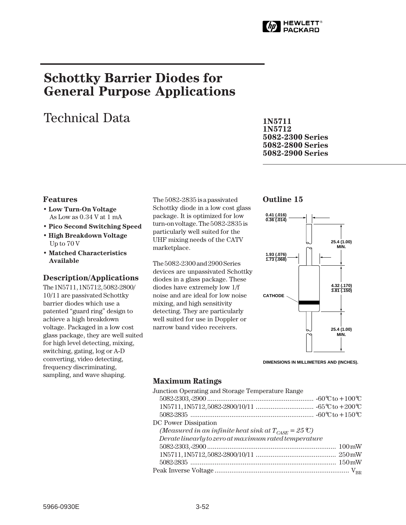

# **Schottky Barrier Diodes for General Purpose Applications**

# Technical Data

**1N5711 1N5712 5082-2300 Series 5082-2800 Series 5082-2900 Series**

## **Features**

- **Low Turn-On Voltage** As Low as 0.34 V at 1 mA
- **Pico Second Switching Speed**
- **High Breakdown Voltage** Up to 70 V
- **Matched Characteristics Available**

## **Description/Applications**

The 1N5711, 1N5712, 5082-2800/ 10/11 are passivated Schottky barrier diodes which use a patented "guard ring" design to achieve a high breakdown voltage. Packaged in a low cost glass package, they are well suited for high level detecting, mixing, switching, gating, log or A-D converting, video detecting, frequency discriminating, sampling, and wave shaping.

The 5082-2835 is a passivated Schottky diode in a low cost glass package. It is optimized for low turn-on voltage. The 5082-2835 is particularly well suited for the UHF mixing needs of the CATV marketplace.

The 5082-2300 and 2900 Series devices are unpassivated Schottky diodes in a glass package. These diodes have extremely low 1/f noise and are ideal for low noise mixing, and high sensitivity detecting. They are particularly well suited for use in Doppler or narrow band video receivers.

## **Outline 15**



**DIMENSIONS IN MILLIMETERS AND (INCHES).**

# **Maximum Ratings**

| Junction Operating and Storage Temperature Range                         |  |
|--------------------------------------------------------------------------|--|
|                                                                          |  |
|                                                                          |  |
|                                                                          |  |
| DC Power Dissipation                                                     |  |
| (Measured in an infinite heat sink at $T_{\text{CASE}} = 25 \text{°C}$ ) |  |
| Derate linearly to zero at maximum rated temperature                     |  |
|                                                                          |  |
|                                                                          |  |
|                                                                          |  |
|                                                                          |  |
|                                                                          |  |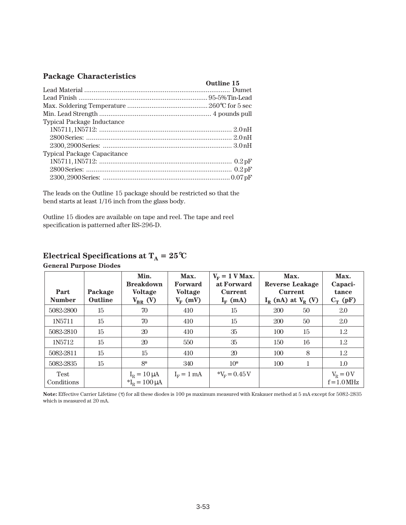# **Package Characteristics**

| Tuenase characteristics            |            |
|------------------------------------|------------|
|                                    | Outline 15 |
|                                    |            |
|                                    |            |
|                                    |            |
|                                    |            |
| <b>Typical Package Inductance</b>  |            |
|                                    |            |
|                                    |            |
|                                    |            |
| <b>Typical Package Capacitance</b> |            |
|                                    |            |
|                                    |            |
|                                    |            |

The leads on the Outline 15 package should be restricted so that the bend starts at least 1/16 inch from the glass body.

Outline 15 diodes are available on tape and reel. The tape and reel specification is patterned after RS-296-D.

# **Electrical Specifications at**  $T_A = 25^\circ \text{C}$

| Part<br><b>Number</b>     | Package<br><b>Outline</b> | Min.<br><b>Breakdown</b><br><b>Voltage</b><br>$V_{BR}$ (V) | Max.<br>Forward<br><b>Voltage</b><br>$V_{\rm F}$ (mV) | $V_F = 1$ V Max.<br>at Forward<br><b>Current</b><br>$I_F$ (mA) | Max.<br><b>Reverse Leakage</b><br><b>Current</b><br>$I_R$ (nA) at $V_R$ (V) |    | Max.<br>Capaci-<br>tance<br>$C_T$ (pF) |
|---------------------------|---------------------------|------------------------------------------------------------|-------------------------------------------------------|----------------------------------------------------------------|-----------------------------------------------------------------------------|----|----------------------------------------|
| 5082-2800                 | 15                        | 70                                                         | 410                                                   | 15                                                             | 200                                                                         | 50 | 2.0                                    |
| 1N5711                    | 15                        | 70                                                         | 410                                                   | 15                                                             | 200                                                                         | 50 | 2.0                                    |
| 5082-2810                 | 15                        | 20                                                         | 410                                                   | 35                                                             | 100                                                                         | 15 | 1.2                                    |
| 1N <sub>5712</sub>        | $15\,$                    | 20                                                         | 550                                                   | 35                                                             | 150                                                                         | 16 | 1.2                                    |
| 5082-2811                 | 15                        | 15                                                         | 410                                                   | 20                                                             | 100                                                                         | 8  | 1.2                                    |
| 5082-2835                 | 15                        | $8*$                                                       | 340                                                   | $10*$                                                          | 100                                                                         | 1  | 1.0                                    |
| <b>Test</b><br>Conditions |                           | $I_R = 10 \mu A$<br>${}^*I_R = 100 \mu A$                  | $I_F = 1$ mA                                          | $V_F = 0.45V$                                                  |                                                                             |    | $V_R = 0 V$<br>$f = 1.0$ MHz           |

#### **General Purpose Diodes**

**Note:** Effective Carrier Lifetime (τ) for all these diodes is 100 ps maximum measured with Krakauer method at 5 mA except for 5082-2835 which is measured at 20 mA.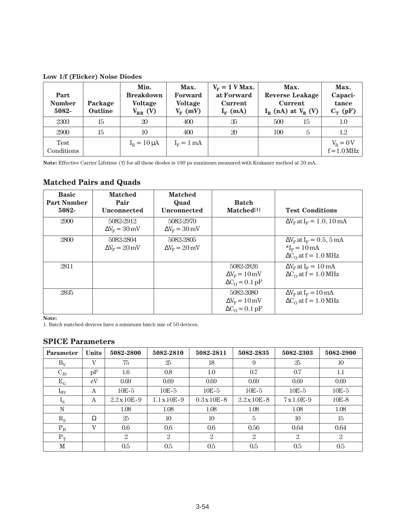**Low 1/f (Flicker) Noise Diodes**

| Part<br><b>Number</b><br>5082- | Package<br><b>Outline</b> | Min.<br><b>Breakdown</b><br><b>Voltage</b><br>$V_{BR}$ (V) | Max.<br>Forward<br><b>Voltage</b><br>$V_{\rm F}$ (mV) | $V_F = 1$ V Max.<br>at Forward<br><b>Current</b><br>$I_F$ (mA) | Max.<br><b>Reverse Leakage</b><br><b>Current</b><br>$I_R$ (nA) at $V_R$ (V) |    | Max.<br>Capaci-<br>tance<br>$C_T$ (pF) |
|--------------------------------|---------------------------|------------------------------------------------------------|-------------------------------------------------------|----------------------------------------------------------------|-----------------------------------------------------------------------------|----|----------------------------------------|
| 2303                           | 15                        | 20                                                         | 400                                                   | 35                                                             | 500                                                                         | 15 | 1.0                                    |
| 2900                           | 15                        | 10                                                         | 400                                                   | 20                                                             | 100                                                                         | 5  | 1.2                                    |
| <b>Test</b><br>Conditions      |                           | $I_R = 10 \mu A$                                           | $I_F = 1$ mA                                          |                                                                |                                                                             |    | $V_R = 0 V$<br>$f = 1.0$ MHz           |

**Note:** Effective Carrier Lifetime (τ) for all these diodes is 100 ps maximum measured with Krakauer method at 20 mA.

# **Matched Pairs and Quads**

| <b>Basic</b><br><b>Part Number</b><br>5082- | <b>Matched</b><br>Pair<br><b>Unconnected</b> | <b>Matched</b><br>Quad<br><b>Unconnected</b>     | <b>Batch</b><br>Matched <sup>[1]</sup>                                                | <b>Test Conditions</b>                                                                                           |
|---------------------------------------------|----------------------------------------------|--------------------------------------------------|---------------------------------------------------------------------------------------|------------------------------------------------------------------------------------------------------------------|
| 2900                                        | 5082-2912<br>$\Delta V_{\rm F} = 30$ mV      | 5082-2970<br>$\Delta V_{\rm F} = 30$ mV          |                                                                                       | $\Delta V_F$ at I <sub>F</sub> = 1.0, 10 mA                                                                      |
| 2800                                        | 5082-2804<br>$\Delta V_{\rm F}$ = 20 mV      | 5082-2805<br>$\Delta V_{\rm F} = 20 \,\text{mV}$ |                                                                                       | $\Delta V_{\rm F}$ at $I_{\rm F}$ = 0.5, 5 mA<br>${}^*I_F = 10 \text{ mA}$<br>$\Delta C_{\Omega}$ at f = 1.0 MHz |
| 2811                                        |                                              |                                                  | 5082-2826<br>$\Delta V_{\rm F} = 10 \,\rm mV$<br>$\Delta C_{\Omega} = 0.1 \text{ pF}$ | $\Delta V_F$ at $I_F = 10$ mA<br>$\Delta C_0$ at f = 1.0 MHz                                                     |
| 2835                                        |                                              |                                                  | 5082-2080<br>$\Delta V_{\rm F} = 10 \,\text{mV}$<br>$\Delta C_{\Omega} = 0.1$ pF      | $\Delta V_{\rm F}$ at $I_{\rm F}$ = 10 mA<br>$\Delta C_0$ at f = 1.0 MHz                                         |

**Note:**

1. Batch matched devices have a minimum batch size of 50 devices.

## **SPICE Parameters**

| <b>Parameter</b> | <b>Units</b>   | 5082-2800            | 5082-2810            | 5082-2811            | 5082-2835            | 5082-2303  | 5082-2900      |
|------------------|----------------|----------------------|----------------------|----------------------|----------------------|------------|----------------|
| $B_V$            | $\mathbf{V}$   | 75                   | 25                   | 18                   | 9                    | 25         | 10             |
| $C_{J0}$         | pF             | 1.6                  | 0.8                  | 1.0                  | 0.7                  | 0.7        | 1.1            |
| $E_G$            | eV             | 0.69                 | 0.69                 | 0.69                 | 0.69                 | 0.69       | 0.69           |
| $I_{\rm BV}$     | A              | $10E-5$              | $10E-5$              | $10E-5$              | $10E-5$              | $10E-5$    | $10E-5$        |
| $I_{\rm S}$      | A              | $2.2 \times 10E - 9$ | $1.1 \times 10E - 9$ | $0.3 \times 10E - 8$ | $2.2 \times 10E - 8$ | $7x1.0E-9$ | $10E-8$        |
| N                |                | 1.08                 | 1.08                 | 1.08                 | 1.08                 | 1.08       | 1.08           |
| $R_{\rm S}$      | Ω              | 25                   | 10                   | 10                   | 5                    | 10         | 15             |
| $P_B$            | $\overline{V}$ | 0.6                  | 0.6                  | 0.6                  | 0.56                 | 0.64       | 0.64           |
| $P_T$            |                | 2                    | 2                    | $\overline{2}$       | 2                    | 2          | $\overline{2}$ |
| M                |                | 0.5                  | 0.5                  | 0.5                  | 0.5                  | 0.5        | 0.5            |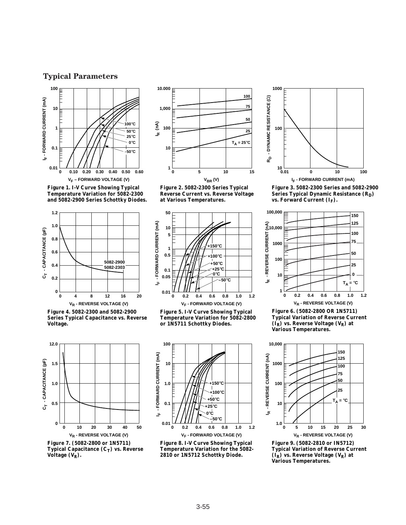# **Typical Parameters**



**Figure 1. I-V Curve Showing Typical Temperature Variation for 5082-2300 and 5082-2900 Series Schottky Diodes.**



**Figure 4. 5082-2300 and 5082-2900 Series Typical Capacitance vs. Reverse Voltage.**



**Figure 7. (5082-2800 or 1N5711) Typical Capacitance (C<sub>T</sub>) vs. Reverse** Voltage (V<sub>R</sub>).



**Figure 2. 5082-2300 Series Typical Reverse Current vs. Reverse Voltage at Various Temperatures.**



**Figure 5. I-V Curve Showing Typical Temperature Variation for 5082-2800 or 1N5711 Schottky Diodes.**



**Figure 8. I-V Curve Showing Typical Temperature Variation for the 5082- 2810 or 1N5712 Schottky Diode.**



**Figure 3. 5082-2300 Series and 5082-2900 Series Typical Dynamic Resistance (RD)** vs. Forward Current (I<sub>F</sub>).



**Figure 6. (5082-2800 OR 1N5711) Typical Variation of Reverse Current (IR) vs. Reverse Voltage (VR) at Various Temperatures.**



**Figure 9. (5082-2810 or IN5712) Typical Variation of Reverse Current**   $(\tilde{I}_R)$  vs. Reverse Voltage  $(V_R)$  at **Various Temperatures.**